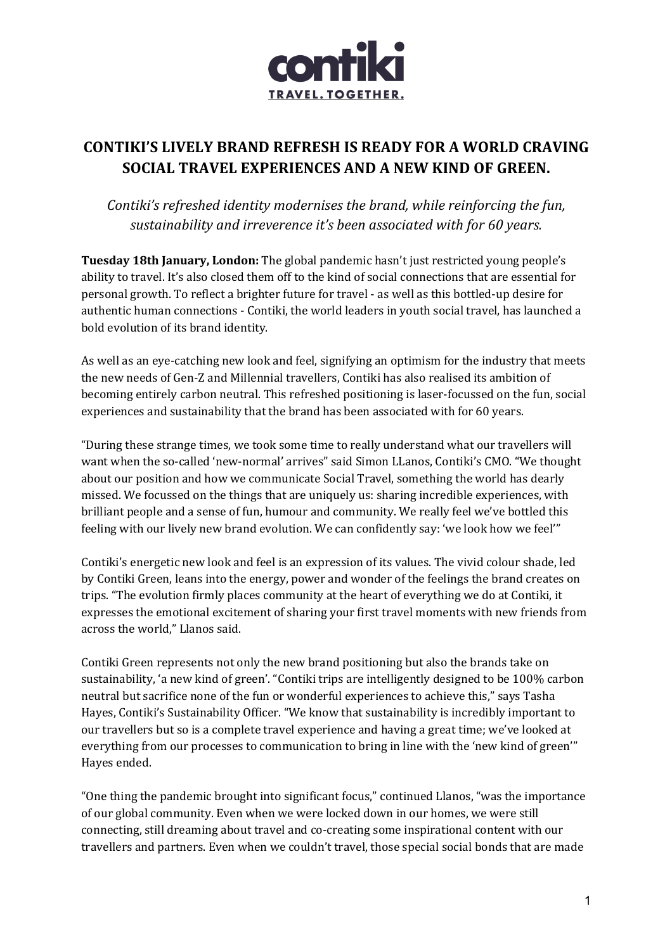

# **CONTIKI'S LIVELY BRAND REFRESH IS READY FOR A WORLD CRAVING SOCIAL TRAVEL EXPERIENCES AND A NEW KIND OF GREEN.**

*Contiki's refreshed identity modernises the brand, while reinforcing the fun,* sustainability and irreverence it's been associated with for 60 years.

Tuesday 18th January, London: The global pandemic hasn't just restricted young people's ability to travel. It's also closed them off to the kind of social connections that are essential for personal growth. To reflect a brighter future for travel - as well as this bottled-up desire for authentic human connections - Contiki, the world leaders in youth social travel, has launched a bold evolution of its brand identity.

As well as an eye-catching new look and feel, signifying an optimism for the industry that meets the new needs of Gen-Z and Millennial travellers, Contiki has also realised its ambition of becoming entirely carbon neutral. This refreshed positioning is laser-focussed on the fun, social experiences and sustainability that the brand has been associated with for 60 years.

"During these strange times, we took some time to really understand what our travellers will want when the so-called 'new-normal' arrives" said Simon LLanos, Contiki's CMO. "We thought about our position and how we communicate Social Travel, something the world has dearly missed. We focussed on the things that are uniquely us: sharing incredible experiences, with brilliant people and a sense of fun, humour and community. We really feel we've bottled this feeling with our lively new brand evolution. We can confidently say: 'we look how we feel'"

Contiki's energetic new look and feel is an expression of its values. The vivid colour shade, led by Contiki Green, leans into the energy, power and wonder of the feelings the brand creates on trips. "The evolution firmly places community at the heart of everything we do at Contiki, it expresses the emotional excitement of sharing your first travel moments with new friends from across the world," Llanos said.

Contiki Green represents not only the new brand positioning but also the brands take on sustainability, 'a new kind of green'. "Contiki trips are intelligently designed to be 100% carbon neutral but sacrifice none of the fun or wonderful experiences to achieve this," says Tasha Hayes, Contiki's Sustainability Officer. "We know that sustainability is incredibly important to our travellers but so is a complete travel experience and having a great time; we've looked at everything from our processes to communication to bring in line with the 'new kind of green'" Hayes ended.

"One thing the pandemic brought into significant focus," continued Llanos, "was the importance of our global community. Even when we were locked down in our homes, we were still connecting, still dreaming about travel and co-creating some inspirational content with our travellers and partners. Even when we couldn't travel, those special social bonds that are made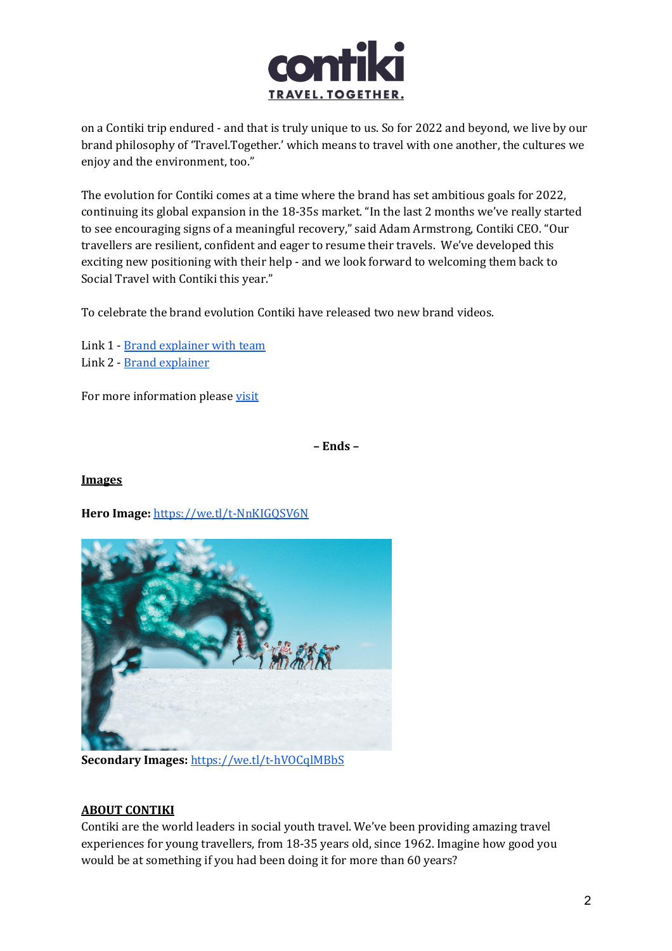

on a Contiki trip endured - and that is truly unique to us. So for 2022 and beyond, we live by our brand philosophy of 'Travel.Together.' which means to travel with one another, the cultures we enjoy and the environment, too."

The evolution for Contiki comes at a time where the brand has set ambitious goals for 2022, continuing its global expansion in the 18-35s market. "In the last 2 months we've really started to see encouraging signs of a meaningful recovery," said Adam Armstrong, Contiki CEO. "Our travellers are resilient, confident and eager to resume their travels. We've developed this exciting new positioning with their help - and we look forward to welcoming them back to Social Travel with Contiki this year."

To celebrate the brand evolution Contiki have released two new brand videos.

Link 1 - Brand explainer with team Link 2 - Brand explainer

For more information please visit

**– Ends –**

#### **Images**

Hero Image: https://we.tl/t-NnKIGQSV6N



**Secondary Images:** https://we.tl/t-hVOCqlMBbS

#### **ABOUT CONTIKI**

Contiki are the world leaders in social youth travel. We've been providing amazing travel experiences for young travellers, from 18-35 years old, since 1962. Imagine how good you would be at something if you had been doing it for more than 60 years?